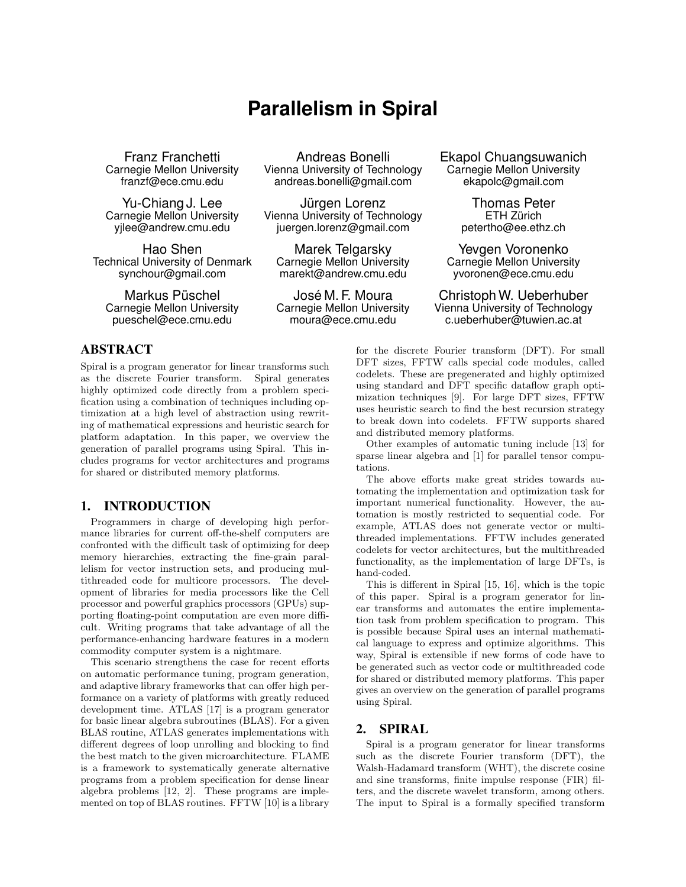# **Parallelism in Spiral**

Technical University of Denmark synchour@gmail.com marekt@andrew.cmu.edu yvoronen@ece.cmu.edu

rnegie Mellon University Vienna University of Technology Carnegie Mellon Univers<br>franzf@ece.cmu.edu endreas.bonelli@gmail.com ekapolc@gmail.com andreas.bonelli@gmail.com

Yu-Chiang J. Lee Jürgen Lorenz Thomas Peter<br>Carnegie Mellon University vienna University of Technology ETH Zürich Carnegie Mellon University Vienna University of Technology ETH Zurich ¨ juergen.lorenz@gmail.com

Hao Shen **Marek Telgarsky** Mevgen Voronenko<br>
University of Denmark Carnegie Mellon University Carnegie Mellon University

## ABSTRACT

Spiral is a program generator for linear transforms such as the discrete Fourier transform. Spiral generates highly optimized code directly from a problem specification using a combination of techniques including optimization at a high level of abstraction using rewriting of mathematical expressions and heuristic search for platform adaptation. In this paper, we overview the generation of parallel programs using Spiral. This includes programs for vector architectures and programs for shared or distributed memory platforms.

## 1. INTRODUCTION

Programmers in charge of developing high performance libraries for current off-the-shelf computers are confronted with the difficult task of optimizing for deep memory hierarchies, extracting the fine-grain parallelism for vector instruction sets, and producing multithreaded code for multicore processors. The development of libraries for media processors like the Cell processor and powerful graphics processors (GPUs) supporting floating-point computation are even more difficult. Writing programs that take advantage of all the performance-enhancing hardware features in a modern commodity computer system is a nightmare.

This scenario strengthens the case for recent efforts on automatic performance tuning, program generation, and adaptive library frameworks that can offer high performance on a variety of platforms with greatly reduced development time. ATLAS [17] is a program generator for basic linear algebra subroutines (BLAS). For a given BLAS routine, ATLAS generates implementations with different degrees of loop unrolling and blocking to find the best match to the given microarchitecture. FLAME is a framework to systematically generate alternative programs from a problem specification for dense linear algebra problems [12, 2]. These programs are implemented on top of BLAS routines. FFTW [10] is a library

Franz Franchetti **Andreas Bonelli** Ekapol Chuangsuwanich<br>Carnegie Mellon University Vienna University of Technology Carnegie Mellon University

Markus Püschel José M. F. Moura Christoph W. Ueberhuber<br>Carnegie Mellon University Carnegie Mellon University Vienna University of Technology Vienna University of Technology pueschel@ece.cmu.edu moura@ece.cmu.edu c.ueberhuber@tuwien.ac.at

> for the discrete Fourier transform (DFT). For small DFT sizes, FFTW calls special code modules, called codelets. These are pregenerated and highly optimized using standard and DFT specific dataflow graph optimization techniques [9]. For large DFT sizes, FFTW uses heuristic search to find the best recursion strategy to break down into codelets. FFTW supports shared and distributed memory platforms.

> Other examples of automatic tuning include [13] for sparse linear algebra and [1] for parallel tensor computations.

> The above efforts make great strides towards automating the implementation and optimization task for important numerical functionality. However, the automation is mostly restricted to sequential code. For example, ATLAS does not generate vector or multithreaded implementations. FFTW includes generated codelets for vector architectures, but the multithreaded functionality, as the implementation of large DFTs, is hand-coded.

> This is different in Spiral [15, 16], which is the topic of this paper. Spiral is a program generator for linear transforms and automates the entire implementation task from problem specification to program. This is possible because Spiral uses an internal mathematical language to express and optimize algorithms. This way, Spiral is extensible if new forms of code have to be generated such as vector code or multithreaded code for shared or distributed memory platforms. This paper gives an overview on the generation of parallel programs using Spiral.

## 2. SPIRAL

Spiral is a program generator for linear transforms such as the discrete Fourier transform (DFT), the Walsh-Hadamard transform (WHT), the discrete cosine and sine transforms, finite impulse response (FIR) filters, and the discrete wavelet transform, among others. The input to Spiral is a formally specified transform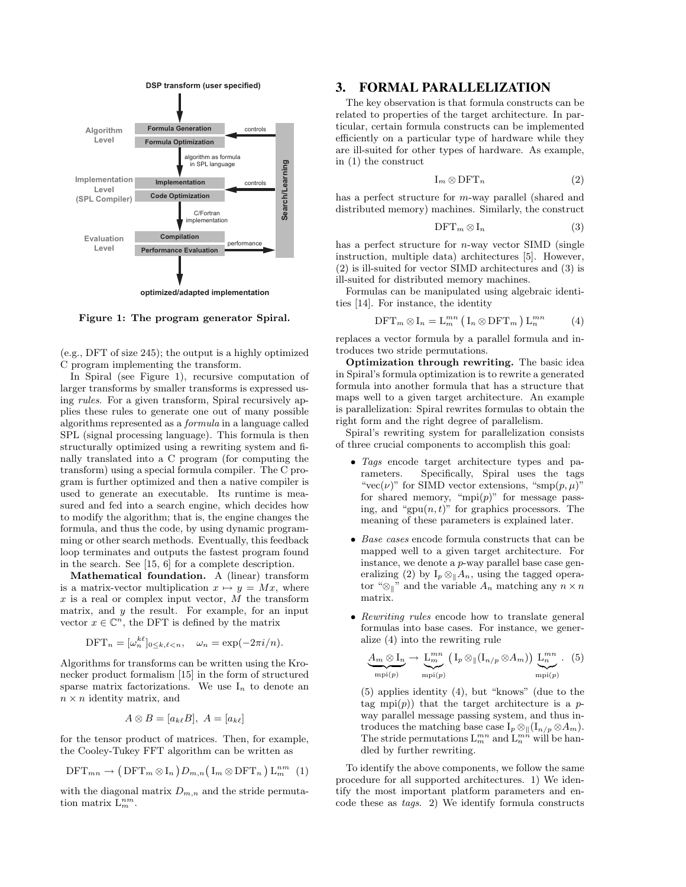

Figure 1: The program generator Spiral.

(e.g., DFT of size 245); the output is a highly optimized C program implementing the transform.

In Spiral (see Figure 1), recursive computation of larger transforms by smaller transforms is expressed using rules. For a given transform, Spiral recursively applies these rules to generate one out of many possible algorithms represented as a formula in a language called SPL (signal processing language). This formula is then structurally optimized using a rewriting system and finally translated into a C program (for computing the transform) using a special formula compiler. The C program is further optimized and then a native compiler is used to generate an executable. Its runtime is measured and fed into a search engine, which decides how to modify the algorithm; that is, the engine changes the formula, and thus the code, by using dynamic programming or other search methods. Eventually, this feedback loop terminates and outputs the fastest program found in the search. See [15, 6] for a complete description.

Mathematical foundation. A (linear) transform is a matrix-vector multiplication  $x \mapsto y = Mx$ , where  $x$  is a real or complex input vector,  $M$  the transform matrix, and  $y$  the result. For example, for an input vector  $x \in \mathbb{C}^n$ , the DFT is defined by the matrix

$$
\text{DFT}_n = [\omega_n^{k\ell}]_{0 \le k,\ell < n}, \quad \omega_n = \exp(-2\pi i/n).
$$

Algorithms for transforms can be written using the Kronecker product formalism [15] in the form of structured sparse matrix factorizations. We use  $I_n$  to denote an  $n \times n$  identity matrix, and

$$
A \otimes B = [a_{k\ell}B], A = [a_{k\ell}]
$$

for the tensor product of matrices. Then, for example, the Cooley-Tukey FFT algorithm can be written as

$$
\text{DFT}_{mn} \rightarrow (\text{DFT}_m \otimes I_n) D_{m,n} (\text{I}_m \otimes \text{DFT}_n) \text{L}_m^{nm} (1)
$$

with the diagonal matrix  $D_{m,n}$  and the stride permutation matrix  $\overline{\mathcal{L}_m^{nm}}$ .

## 3. FORMAL PARALLELIZATION

The key observation is that formula constructs can be related to properties of the target architecture. In particular, certain formula constructs can be implemented efficiently on a particular type of hardware while they are ill-suited for other types of hardware. As example, in (1) the construct

$$
I_m \otimes DFT_n \tag{2}
$$

has a perfect structure for m-way parallel (shared and distributed memory) machines. Similarly, the construct

$$
\text{DFT}_m \otimes I_n \tag{3}
$$

has a perfect structure for  $n$ -way vector SIMD (single instruction, multiple data) architectures [5]. However, (2) is ill-suited for vector SIMD architectures and (3) is ill-suited for distributed memory machines.

Formulas can be manipulated using algebraic identities [14]. For instance, the identity

$$
\text{DFT}_m \otimes I_n = \mathcal{L}_m^{mn} \left( \mathcal{I}_n \otimes \text{DFT}_m \right) \mathcal{L}_n^{mn} \tag{4}
$$

replaces a vector formula by a parallel formula and introduces two stride permutations.

Optimization through rewriting. The basic idea in Spiral's formula optimization is to rewrite a generated formula into another formula that has a structure that maps well to a given target architecture. An example is parallelization: Spiral rewrites formulas to obtain the right form and the right degree of parallelism.

Spiral's rewriting system for parallelization consists of three crucial components to accomplish this goal:

- Tags encode target architecture types and parameters. Specifically, Spiral uses the tags "vec( $\nu$ )" for SIMD vector extensions, "smp( $p, \mu$ )" for shared memory, "mpi $(p)$ " for message passing, and "gpu $(n, t)$ " for graphics processors. The meaning of these parameters is explained later.
- Base cases encode formula constructs that can be mapped well to a given target architecture. For instance, we denote a p-way parallel base case generalizing (2) by  $I_p \otimes_{\parallel} A_n$ , using the tagged operator "⊗<sub>l</sub>" and the variable  $A_n$  matching any  $n \times n$ matrix.
- Rewriting rules encode how to translate general formulas into base cases. For instance, we generalize (4) into the rewriting rule

$$
\underbrace{A_m \otimes I_n}_{\text{mpi}(p)} \to \underbrace{L_m^{mn}}_{\text{mpi}(p)} \left(I_p \otimes \mathcal{A}_{m}(I_{n/p} \otimes A_m)\right) \underbrace{L_n^{mn}}_{\text{mpi}(p)}.
$$
 (5)

(5) applies identity (4), but "knows" (due to the tag mpi $(p)$ ) that the target architecture is a pway parallel message passing system, and thus introduces the matching base case  $I_p \otimes \langle (I_{n/p} \otimes A_m) \rangle$ . The stride permutations  $L_m^{mn}$  and  $L_n^{mn}$  will be handled by further rewriting.

To identify the above components, we follow the same procedure for all supported architectures. 1) We identify the most important platform parameters and encode these as tags. 2) We identify formula constructs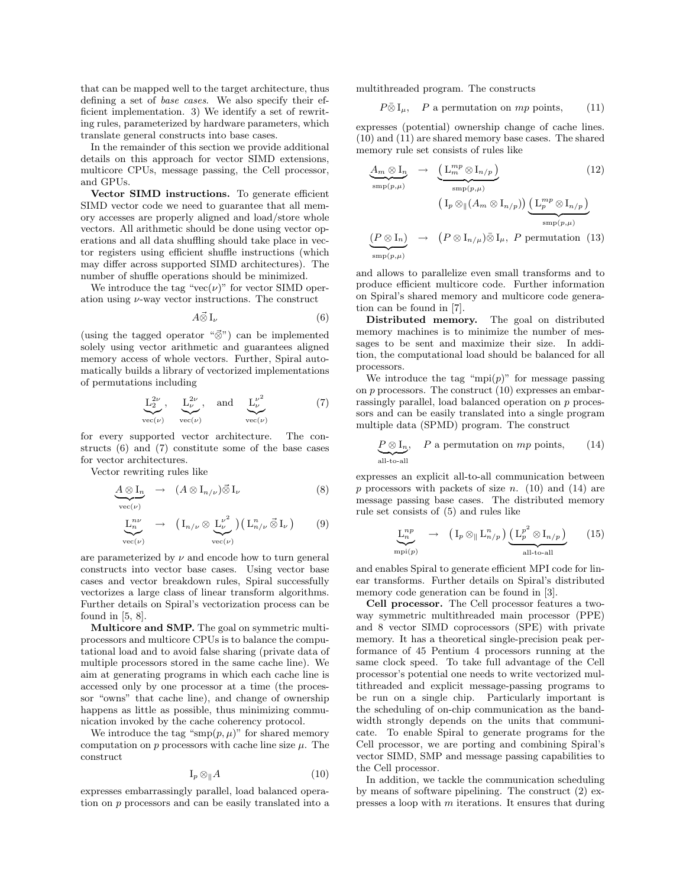that can be mapped well to the target architecture, thus defining a set of base cases. We also specify their efficient implementation. 3) We identify a set of rewriting rules, parameterized by hardware parameters, which translate general constructs into base cases.

In the remainder of this section we provide additional details on this approach for vector SIMD extensions, multicore CPUs, message passing, the Cell processor, and GPUs.

Vector SIMD instructions. To generate efficient SIMD vector code we need to guarantee that all memory accesses are properly aligned and load/store whole vectors. All arithmetic should be done using vector operations and all data shuffling should take place in vector registers using efficient shuffle instructions (which may differ across supported SIMD architectures). The number of shuffle operations should be minimized.

We introduce the tag "vec $(\nu)$ " for vector SIMD operation using  $\nu$ -way vector instructions. The construct

$$
A\vec{\otimes}I_{\nu}\tag{6}
$$

(using the tagged operator " $\vec{\otimes}$ ") can be implemented solely using vector arithmetic and guarantees aligned memory access of whole vectors. Further, Spiral automatically builds a library of vectorized implementations of permutations including

$$
\underbrace{\mathcal{L}_2^{2\nu}}_{\text{vec}(\nu)}, \quad \underbrace{\mathcal{L}_\nu^{2\nu}}_{\text{vec}(\nu)}, \quad \text{and} \quad \underbrace{\mathcal{L}_\nu^{\nu^2}}_{\text{vec}(\nu)} \tag{7}
$$

for every supported vector architecture. The constructs (6) and (7) constitute some of the base cases for vector architectures.

Vector rewriting rules like

$$
\underbrace{A \otimes I_n}_{\text{vec}(\nu)} \rightarrow (A \otimes I_{n/\nu}) \vec{\otimes} I_{\nu} \tag{8}
$$
\n
$$
\underbrace{L_n^{n\nu}}_{\text{vec}(\nu)} \rightarrow (I_{n/\nu} \otimes \underbrace{L_{\nu}^{\nu^2}}_{\text{vec}(\nu)}) (L_{n/\nu}^n \vec{\otimes} I_{\nu}) \tag{9}
$$

are parameterized by  $\nu$  and encode how to turn general constructs into vector base cases. Using vector base cases and vector breakdown rules, Spiral successfully vectorizes a large class of linear transform algorithms. Further details on Spiral's vectorization process can be found in  $[5, 8]$ .

Multicore and SMP. The goal on symmetric multiprocessors and multicore CPUs is to balance the computational load and to avoid false sharing (private data of multiple processors stored in the same cache line). We aim at generating programs in which each cache line is accessed only by one processor at a time (the processor "owns" that cache line), and change of ownership happens as little as possible, thus minimizing communication invoked by the cache coherency protocol.

We introduce the tag " $\text{sup}(p, \mu)$ " for shared memory computation on  $p$  processors with cache line size  $\mu$ . The construct

$$
\mathrm{I}_p \otimes_{\parallel} A \tag{10}
$$

expresses embarrassingly parallel, load balanced operation on p processors and can be easily translated into a multithreaded program. The constructs

$$
P\bar{\otimes}I_{\mu}
$$
, P a permutation on mp points, (11)

expresses (potential) ownership change of cache lines. (10) and (11) are shared memory base cases. The shared memory rule set consists of rules like

$$
\underbrace{A_m \otimes I_n}_{\text{smp}(p,\mu)} \rightarrow \underbrace{\left(\mathcal{L}_m^{mp} \otimes I_{n/p}\right)}_{\text{smp}(p,\mu)} \qquad (12)
$$
\n
$$
\underbrace{\left(\mathcal{L}_p \otimes \left[\left(A_m \otimes I_{n/p}\right)\right] \underbrace{\left(\mathcal{L}_p^{mp} \otimes I_{n/p}\right)}_{\text{smp}(p,\mu)}}_{\text{smp}(p,\mu)} \qquad (13)
$$

and allows to parallelize even small transforms and to produce efficient multicore code. Further information on Spiral's shared memory and multicore code generation can be found in [7].

Distributed memory. The goal on distributed memory machines is to minimize the number of messages to be sent and maximize their size. In addition, the computational load should be balanced for all processors.

We introduce the tag "mpi $(p)$ " for message passing on  $p$  processors. The construct  $(10)$  expresses an embarrassingly parallel, load balanced operation on p processors and can be easily translated into a single program multiple data (SPMD) program. The construct

$$
\underbrace{P \otimes I_n}_{\text{all-to-all}}, \quad P \text{ a permutation on } mp \text{ points}, \qquad (14)
$$

expresses an explicit all-to-all communication between p processors with packets of size n. (10) and (14) are message passing base cases. The distributed memory rule set consists of (5) and rules like

$$
\underbrace{\mathcal{L}_n^{np}}_{\text{mpi}(p)} \rightarrow (\mathcal{I}_p \otimes_{\parallel} \mathcal{L}_{n/p}^n) \underbrace{(\mathcal{L}_p^{p^2} \otimes \mathcal{I}_{n/p})}_{\text{all-to-all}} \qquad (15)
$$

and enables Spiral to generate efficient MPI code for linear transforms. Further details on Spiral's distributed memory code generation can be found in [3].

Cell processor. The Cell processor features a twoway symmetric multithreaded main processor (PPE) and 8 vector SIMD coprocessors (SPE) with private memory. It has a theoretical single-precision peak performance of 45 Pentium 4 processors running at the same clock speed. To take full advantage of the Cell processor's potential one needs to write vectorized multithreaded and explicit message-passing programs to be run on a single chip. Particularly important is the scheduling of on-chip communication as the bandwidth strongly depends on the units that communicate. To enable Spiral to generate programs for the Cell processor, we are porting and combining Spiral's vector SIMD, SMP and message passing capabilities to the Cell processor.

In addition, we tackle the communication scheduling by means of software pipelining. The construct (2) expresses a loop with m iterations. It ensures that during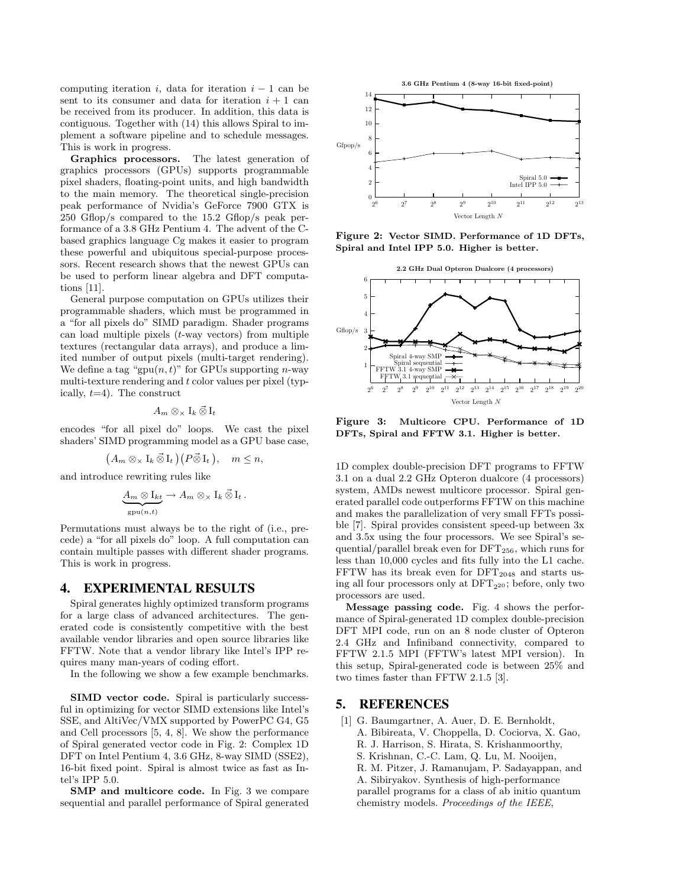computing iteration i, data for iteration  $i - 1$  can be sent to its consumer and data for iteration  $i + 1$  can be received from its producer. In addition, this data is contiguous. Together with (14) this allows Spiral to implement a software pipeline and to schedule messages. This is work in progress.

Graphics processors. The latest generation of graphics processors (GPUs) supports programmable pixel shaders, floating-point units, and high bandwidth to the main memory. The theoretical single-precision peak performance of Nvidia's GeForce 7900 GTX is 250 Gflop/s compared to the 15.2 Gflop/s peak performance of a 3.8 GHz Pentium 4. The advent of the Cbased graphics language Cg makes it easier to program these powerful and ubiquitous special-purpose processors. Recent research shows that the newest GPUs can be used to perform linear algebra and DFT computations [11].

General purpose computation on GPUs utilizes their programmable shaders, which must be programmed in a "for all pixels do" SIMD paradigm. Shader programs can load multiple pixels  $(t$ -way vectors) from multiple textures (rectangular data arrays), and produce a limited number of output pixels (multi-target rendering). We define a tag "gpu $(n, t)$ " for GPUs supporting *n*-way multi-texture rendering and  $t$  color values per pixel (typically,  $t=4$ ). The construct

$$
A_m \otimes_{\times} I_k \mathbin{\vec{\otimes}} I_t
$$

encodes "for all pixel do" loops. We cast the pixel shaders' SIMD programming model as a GPU base case,

$$
(A_m \otimes_{\times} I_k \mathbin{\vec{\otimes}} I_t)(P \mathbin{\vec{\otimes}} I_t), \quad m \leq n,
$$

and introduce rewriting rules like

$$
\underbrace{A_m \otimes I_{kt}}_{\text{gpu}(n,t)} \to A_m \otimes_{\times} I_k \otimes I_t.
$$

Permutations must always be to the right of (i.e., precede) a "for all pixels do" loop. A full computation can contain multiple passes with different shader programs. This is work in progress.

#### 4. EXPERIMENTAL RESULTS

Spiral generates highly optimized transform programs for a large class of advanced architectures. The generated code is consistently competitive with the best available vendor libraries and open source libraries like FFTW. Note that a vendor library like Intel's IPP requires many man-years of coding effort.

In the following we show a few example benchmarks.

SIMD vector code. Spiral is particularly successful in optimizing for vector SIMD extensions like Intel's SSE, and AltiVec/VMX supported by PowerPC G4, G5 and Cell processors [5, 4, 8]. We show the performance of Spiral generated vector code in Fig. 2: Complex 1D DFT on Intel Pentium 4, 3.6 GHz, 8-way SIMD (SSE2), 16-bit fixed point. Spiral is almost twice as fast as Intel's IPP 5.0.

SMP and multicore code. In Fig. 3 we compare sequential and parallel performance of Spiral generated



Figure 2: Vector SIMD. Performance of 1D DFTs, Spiral and Intel IPP 5.0. Higher is better.



Figure 3: Multicore CPU. Performance of 1D DFTs, Spiral and FFTW 3.1. Higher is better.

1D complex double-precision DFT programs to FFTW 3.1 on a dual 2.2 GHz Opteron dualcore (4 processors) system, AMDs newest multicore processor. Spiral generated parallel code outperforms FFTW on this machine and makes the parallelization of very small FFTs possible [7]. Spiral provides consistent speed-up between 3x and 3.5x using the four processors. We see Spiral's sequential/parallel break even for  $DFT_{256}$ , which runs for less than 10,000 cycles and fits fully into the L1 cache. FFTW has its break even for  $DFT_{2048}$  and starts using all four processors only at  $DFT_{2^{20}}$ ; before, only two processors are used.

Message passing code. Fig. 4 shows the performance of Spiral-generated 1D complex double-precision DFT MPI code, run on an 8 node cluster of Opteron 2.4 GHz and Infiniband connectivity, compared to FFTW 2.1.5 MPI (FFTW's latest MPI version). In this setup, Spiral-generated code is between 25% and two times faster than FFTW 2.1.5 [3].

#### 5. REFERENCES

[1] G. Baumgartner, A. Auer, D. E. Bernholdt, A. Bibireata, V. Choppella, D. Cociorva, X. Gao, R. J. Harrison, S. Hirata, S. Krishanmoorthy, S. Krishnan, C.-C. Lam, Q. Lu, M. Nooijen, R. M. Pitzer, J. Ramanujam, P. Sadayappan, and A. Sibiryakov. Synthesis of high-performance parallel programs for a class of ab initio quantum chemistry models. Proceedings of the IEEE,